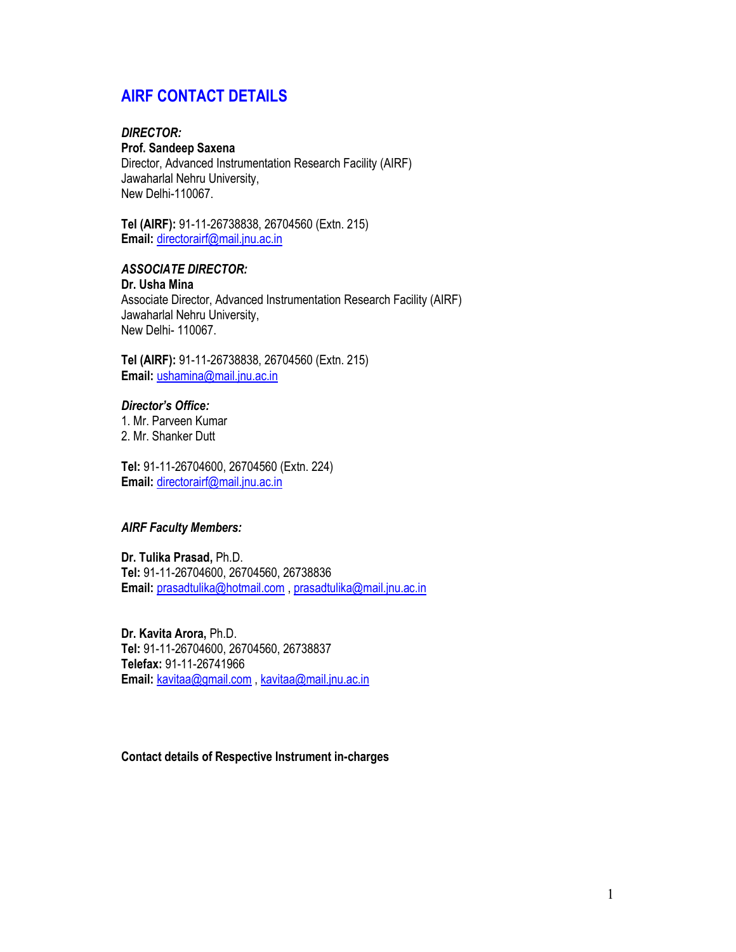# AIRF CONTACT DETAILS

# DIRECTOR:

## Prof. Sandeep Saxena

Director, Advanced Instrumentation Research Facility (AIRF) Jawaharlal Nehru University, New Delhi-110067.

Tel (AIRF): 91-11-26738838, 26704560 (Extn. 215) Email: directorairf@mail.jnu.ac.in

### ASSOCIATE DIRECTOR:

Dr. Usha Mina Associate Director, Advanced Instrumentation Research Facility (AIRF) Jawaharlal Nehru University, New Delhi- 110067.

Tel (AIRF): 91-11-26738838, 26704560 (Extn. 215) Email: ushamina@mail.jnu.ac.in

## Director's Office:

1. Mr. Parveen Kumar 2. Mr. Shanker Dutt

Tel: 91-11-26704600, 26704560 (Extn. 224) Email: directorairf@mail.jnu.ac.in

#### AIRF Faculty Members:

Dr. Tulika Prasad, Ph.D. Tel: 91-11-26704600, 26704560, 26738836 Email: prasadtulika@hotmail.com , prasadtulika@mail.jnu.ac.in

Dr. Kavita Arora, Ph.D. Tel: 91-11-26704600, 26704560, 26738837 Telefax: 91-11-26741966 Email: kavitaa@gmail.com , kavitaa@mail.jnu.ac.in

#### Contact details of Respective Instrument in-charges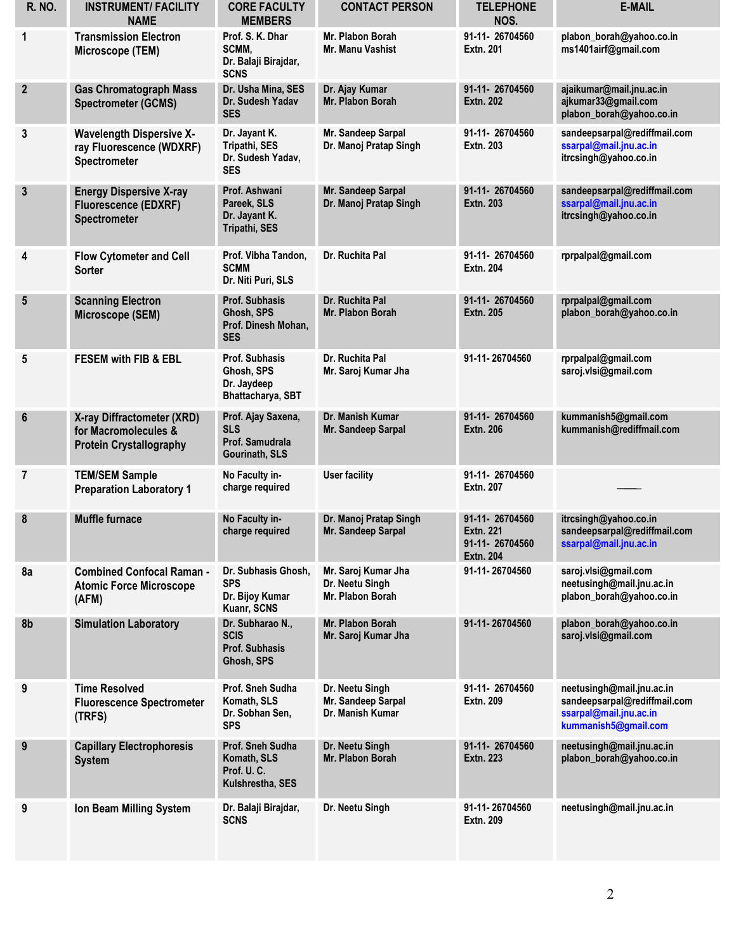| <b>R. NO.</b>    | <b>INSTRUMENT/FACILITY</b><br><b>NAME</b>                                            | <b>CORE FACULTY</b><br><b>MEMBERS</b>                                    | <b>CONTACT PERSON</b>                                      | <b>TELEPHONE</b><br>NOS.                                                 | <b>E-MAIL</b>                                                                                               |
|------------------|--------------------------------------------------------------------------------------|--------------------------------------------------------------------------|------------------------------------------------------------|--------------------------------------------------------------------------|-------------------------------------------------------------------------------------------------------------|
| 1                | <b>Transmission Electron</b><br>Microscope (TEM)                                     | Prof. S. K. Dhar<br>SCMM,<br>Dr. Balaji Birajdar,<br><b>SCNS</b>         | Mr. Plabon Borah<br>Mr. Manu Vashist                       | 91-11-26704560<br><b>Extn. 201</b>                                       | plabon_borah@yahoo.co.in<br>ms1401airf@gmail.com                                                            |
| $\mathbf{2}$     | <b>Gas Chromatograph Mass</b><br><b>Spectrometer (GCMS)</b>                          | Dr. Usha Mina, SES<br>Dr. Sudesh Yadav<br><b>SES</b>                     | Dr. Ajay Kumar<br>Mr. Plabon Borah                         | 91-11-26704560<br><b>Extn. 202</b>                                       | ajaikumar@mail.jnu.ac.in<br>ajkumar33@gmail.com<br>plabon_borah@yahoo.co.in                                 |
| 3                | <b>Wavelength Dispersive X-</b><br>ray Fluorescence (WDXRF)<br>Spectrometer          | Dr. Jayant K.<br>Tripathi, SES<br>Dr. Sudesh Yadav,<br><b>SES</b>        | Mr. Sandeep Sarpal<br>Dr. Manoj Pratap Singh               | 91-11-26704560<br><b>Extn. 203</b>                                       | sandeepsarpal@rediffmail.com<br>ssarpal@mail.jnu.ac.in<br>itrcsingh@yahoo.co.in                             |
| $\mathbf{3}$     | <b>Energy Dispersive X-ray</b><br><b>Fluorescence (EDXRF)</b><br>Spectrometer        | Prof. Ashwani<br>Pareek, SLS<br>Dr. Jayant K.<br>Tripathi, SES           | Mr. Sandeep Sarpal<br>Dr. Manoj Pratap Singh               | 91-11-26704560<br><b>Extn. 203</b>                                       | sandeepsarpal@rediffmail.com<br>ssarpal@mail.jnu.ac.in<br>itrcsingh@yahoo.co.in                             |
| 4                | <b>Flow Cytometer and Cell</b><br><b>Sorter</b>                                      | Prof. Vibha Tandon,<br><b>SCMM</b><br>Dr. Niti Puri, SLS                 | Dr. Ruchita Pal                                            | 91-11-26704560<br><b>Extn. 204</b>                                       | rprpalpal@gmail.com                                                                                         |
| $5\phantom{.0}$  | <b>Scanning Electron</b><br>Microscope (SEM)                                         | <b>Prof. Subhasis</b><br>Ghosh, SPS<br>Prof. Dinesh Mohan.<br><b>SES</b> | Dr. Ruchita Pal<br>Mr. Plabon Borah                        | 91-11-26704560<br><b>Extn. 205</b>                                       | rprpalpal@gmail.com<br>plabon_borah@yahoo.co.in                                                             |
| 5                | <b>FESEM with FIB &amp; EBL</b>                                                      | <b>Prof. Subhasis</b><br>Ghosh, SPS<br>Dr. Jaydeep<br>Bhattacharya, SBT  | Dr. Ruchita Pal<br>Mr. Saroj Kumar Jha                     | 91-11-26704560                                                           | rprpalpal@gmail.com<br>saroj.vlsi@gmail.com                                                                 |
| $\boldsymbol{6}$ | X-ray Diffractometer (XRD)<br>for Macromolecules &<br><b>Protein Crystallography</b> | Prof. Ajay Saxena,<br><b>SLS</b><br>Prof. Samudrala<br>Gourinath, SLS    | Dr. Manish Kumar<br>Mr. Sandeep Sarpal                     | 91-11-26704560<br><b>Extn. 206</b>                                       | kummanish5@gmail.com<br>kummanish@rediffmail.com                                                            |
| $\overline{7}$   | <b>TEM/SEM Sample</b><br><b>Preparation Laboratory 1</b>                             | No Faculty in-<br>charge required                                        | <b>User facility</b>                                       | 91-11-26704560<br><b>Extn. 207</b>                                       |                                                                                                             |
| 8                | <b>Muffle furnace</b>                                                                | No Faculty in-<br>charge required                                        | Dr. Manoj Pratap Singh<br>Mr. Sandeep Sarpal               | 91-11-26704560<br><b>Extn. 221</b><br>91-11-26704560<br><b>Extn. 204</b> | itrcsingh@yahoo.co.in<br>sandeepsarpal@rediffmail.com<br>ssarpal@mail.jnu.ac.in                             |
| 8a               | <b>Combined Confocal Raman -</b><br><b>Atomic Force Microscope</b><br>(AFM)          | Dr. Subhasis Ghosh,<br><b>SPS</b><br>Dr. Bijoy Kumar<br>Kuanr, SCNS      | Mr. Saroj Kumar Jha<br>Dr. Neetu Singh<br>Mr. Plabon Borah | 91-11-26704560                                                           | saroj.vlsi@gmail.com<br>neetusingh@mail.jnu.ac.in<br>plabon_borah@yahoo.co.in                               |
| 8b               | <b>Simulation Laboratory</b>                                                         | Dr. Subharao N.,<br><b>SCIS</b><br><b>Prof. Subhasis</b><br>Ghosh, SPS   | Mr. Plabon Borah<br>Mr. Saroj Kumar Jha                    | 91-11-26704560                                                           | plabon_borah@yahoo.co.in<br>saroj.vlsi@gmail.com                                                            |
| 9                | <b>Time Resolved</b><br><b>Fluorescence Spectrometer</b><br>(TRFS)                   | <b>Prof. Sneh Sudha</b><br>Komath, SLS<br>Dr. Sobhan Sen,<br><b>SPS</b>  | Dr. Neetu Singh<br>Mr. Sandeep Sarpal<br>Dr. Manish Kumar  | 91-11-26704560<br><b>Extn. 209</b>                                       | neetusingh@mail.jnu.ac.in<br>sandeepsarpal@rediffmail.com<br>ssarpal@mail.jnu.ac.in<br>kummanish5@gmail.com |
| 9                | <b>Capillary Electrophoresis</b><br><b>System</b>                                    | Prof. Sneh Sudha<br>Komath, SLS<br>Prof. U.C.<br>Kulshrestha, SES        | Dr. Neetu Singh<br>Mr. Plabon Borah                        | 91-11-26704560<br>Extn. 223                                              | neetusingh@mail.jnu.ac.in<br>plabon_borah@yahoo.co.in                                                       |
| 9                | Ion Beam Milling System                                                              | Dr. Balaji Birajdar,<br><b>SCNS</b>                                      | Dr. Neetu Singh                                            | 91-11-26704560<br><b>Extn. 209</b>                                       | neetusingh@mail.jnu.ac.in                                                                                   |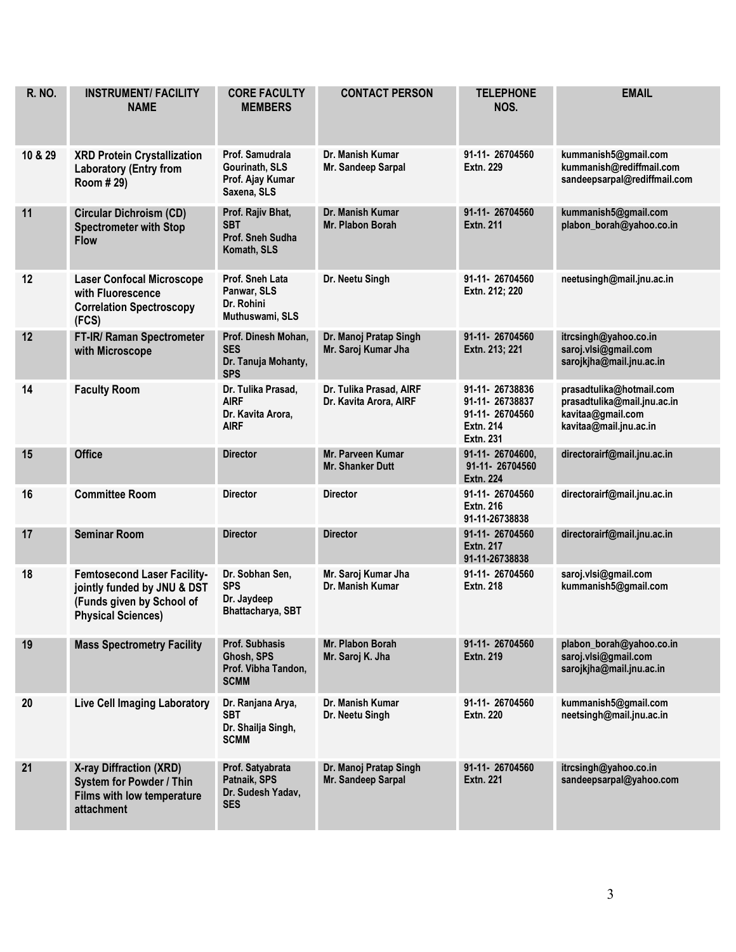| <b>R. NO.</b> | <b>INSTRUMENT/ FACILITY</b><br><b>NAME</b>                                                                                  | <b>CORE FACULTY</b><br><b>MEMBERS</b>                                     | <b>CONTACT PERSON</b>                             | <b>TELEPHONE</b><br>NOS.                                                            | <b>EMAIL</b>                                                                                           |
|---------------|-----------------------------------------------------------------------------------------------------------------------------|---------------------------------------------------------------------------|---------------------------------------------------|-------------------------------------------------------------------------------------|--------------------------------------------------------------------------------------------------------|
| 10 & 29       | <b>XRD Protein Crystallization</b><br><b>Laboratory (Entry from</b><br>Room # 29)                                           | Prof. Samudrala<br>Gourinath, SLS<br>Prof. Ajay Kumar<br>Saxena, SLS      | Dr. Manish Kumar<br>Mr. Sandeep Sarpal            | 91-11-26704560<br>Extn. 229                                                         | kummanish5@gmail.com<br>kummanish@rediffmail.com<br>sandeepsarpal@rediffmail.com                       |
| 11            | <b>Circular Dichroism (CD)</b><br><b>Spectrometer with Stop</b><br><b>Flow</b>                                              | Prof. Rajiv Bhat,<br><b>SBT</b><br>Prof. Sneh Sudha<br>Komath, SLS        | Dr. Manish Kumar<br>Mr. Plabon Borah              | 91-11-26704560<br>Extn. 211                                                         | kummanish5@gmail.com<br>plabon_borah@yahoo.co.in                                                       |
| 12            | <b>Laser Confocal Microscope</b><br>with Fluorescence<br><b>Correlation Spectroscopy</b><br>(FCS)                           | Prof. Sneh Lata<br>Panwar, SLS<br>Dr. Rohini<br>Muthuswami, SLS           | Dr. Neetu Singh                                   | 91-11-26704560<br>Extn. 212; 220                                                    | neetusingh@mail.jnu.ac.in                                                                              |
| 12            | FT-IR/ Raman Spectrometer<br>with Microscope                                                                                | Prof. Dinesh Mohan,<br><b>SES</b><br>Dr. Tanuja Mohanty,<br><b>SPS</b>    | Dr. Manoj Pratap Singh<br>Mr. Saroj Kumar Jha     | 91-11-26704560<br>Extn. 213; 221                                                    | itrcsingh@yahoo.co.in<br>saroj.vlsi@gmail.com<br>sarojkjha@mail.jnu.ac.in                              |
| 14            | <b>Faculty Room</b>                                                                                                         | Dr. Tulika Prasad,<br><b>AIRF</b><br>Dr. Kavita Arora,<br><b>AIRF</b>     | Dr. Tulika Prasad, AIRF<br>Dr. Kavita Arora, AIRF | 91-11-26738836<br>91-11-26738837<br>91-11-26704560<br>Extn. 214<br><b>Extn. 231</b> | prasadtulika@hotmail.com<br>prasadtulika@mail.jnu.ac.in<br>kavitaa@gmail.com<br>kavitaa@mail.jnu.ac.in |
| 15            | <b>Office</b>                                                                                                               | <b>Director</b>                                                           | Mr. Parveen Kumar<br><b>Mr. Shanker Dutt</b>      | 91-11-26704600,<br>91-11-26704560<br><b>Extn. 224</b>                               | directorairf@mail.jnu.ac.in                                                                            |
| 16            | <b>Committee Room</b>                                                                                                       | <b>Director</b>                                                           | <b>Director</b>                                   | 91-11-26704560<br><b>Extn. 216</b><br>91-11-26738838                                | directorairf@mail.jnu.ac.in                                                                            |
| 17            | <b>Seminar Room</b>                                                                                                         | <b>Director</b>                                                           | <b>Director</b>                                   | 91-11-26704560<br><b>Extn. 217</b><br>91-11-26738838                                | directorairf@mail.jnu.ac.in                                                                            |
| 18            | <b>Femtosecond Laser Facility-</b><br>jointly funded by JNU & DST<br>(Funds given by School of<br><b>Physical Sciences)</b> | Dr. Sobhan Sen,<br><b>SPS</b><br>Dr. Jaydeep<br>Bhattacharya, SBT         | Mr. Saroj Kumar Jha<br>Dr. Manish Kumar           | 91-11-26704560<br><b>Extn. 218</b>                                                  | saroj.vlsi@gmail.com<br>kummanish5@gmail.com                                                           |
| 19            | <b>Mass Spectrometry Facility</b>                                                                                           | <b>Prof. Subhasis</b><br>Ghosh, SPS<br>Prof. Vibha Tandon,<br><b>SCMM</b> | Mr. Plabon Borah<br>Mr. Saroj K. Jha              | 91-11-26704560<br><b>Extn. 219</b>                                                  | plabon borah@yahoo.co.in<br>saroj.vlsi@gmail.com<br>sarojkjha@mail.jnu.ac.in                           |
| 20            | <b>Live Cell Imaging Laboratory</b>                                                                                         | Dr. Ranjana Arya,<br><b>SBT</b><br>Dr. Shailja Singh,<br><b>SCMM</b>      | Dr. Manish Kumar<br>Dr. Neetu Singh               | 91-11-26704560<br>Extn. 220                                                         | kummanish5@gmail.com<br>neetsingh@mail.jnu.ac.in                                                       |
| 21            | X-ray Diffraction (XRD)<br><b>System for Powder / Thin</b><br>Films with low temperature<br>attachment                      | Prof. Satyabrata<br>Patnaik, SPS<br>Dr. Sudesh Yadav,<br><b>SES</b>       | Dr. Manoj Pratap Singh<br>Mr. Sandeep Sarpal      | 91-11-26704560<br><b>Extn. 221</b>                                                  | itrcsingh@yahoo.co.in<br>sandeepsarpal@yahoo.com                                                       |